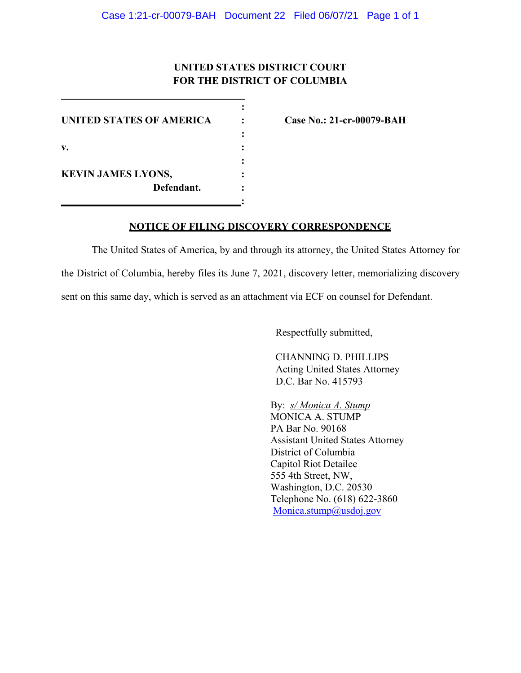## **UNITED STATES DISTRICT COURT FOR THE DISTRICT OF COLUMBIA**

**:**

**:**

**:** 

**:**

**UNITED STATES OF AMERICA : Case No.: 21-cr-00079-BAH v. : KEVIN JAMES LYONS, : Defendant. :**

## **NOTICE OF FILING DISCOVERY CORRESPONDENCE**

The United States of America, by and through its attorney, the United States Attorney for the District of Columbia, hereby files its June 7, 2021, discovery letter, memorializing discovery sent on this same day, which is served as an attachment via ECF on counsel for Defendant.

Respectfully submitted,

CHANNING D. PHILLIPS Acting United States Attorney D.C. Bar No. 415793

By: *s/ Monica A. Stump* MONICA A. STUMP PA Bar No. 90168 Assistant United States Attorney District of Columbia Capitol Riot Detailee 555 4th Street, NW, Washington, D.C. 20530 Telephone No. (618) 622-3860 Monica.stump@usdoj.gov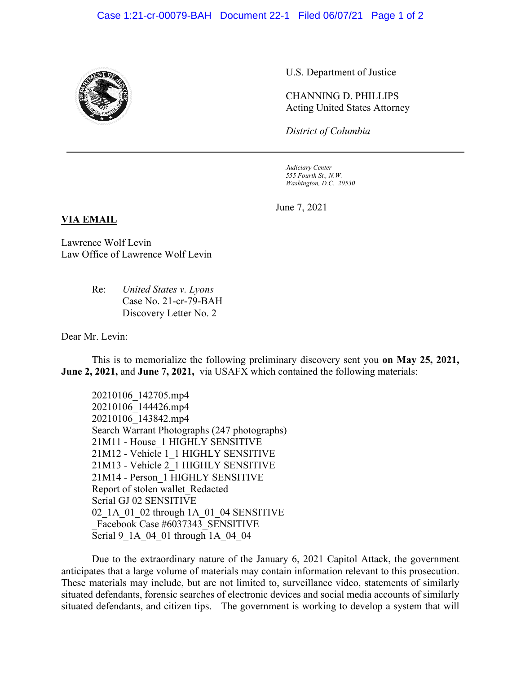

U.S. Department of Justice

CHANNING D. PHILLIPS Acting United States Attorney

*District of Columbia*

*Judiciary Center 555 Fourth St., N.W. Washington, D.C. 20530*

June 7, 2021

## **VIA EMAIL**

Lawrence Wolf Levin Law Office of Lawrence Wolf Levin

> Re: *United States v. Lyons* Case No. 21-cr-79-BAH Discovery Letter No. 2

Dear Mr. Levin:

This is to memorialize the following preliminary discovery sent you **on May 25, 2021, June 2, 2021,** and **June 7, 2021,** via USAFX which contained the following materials:

20210106\_142705.mp4 20210106\_144426.mp4 20210106\_143842.mp4 Search Warrant Photographs (247 photographs) 21M11 - House\_1 HIGHLY SENSITIVE 21M12 - Vehicle 1\_1 HIGHLY SENSITIVE 21M13 - Vehicle 2\_1 HIGHLY SENSITIVE 21M14 - Person\_1 HIGHLY SENSITIVE Report of stolen wallet\_Redacted Serial GJ 02 SENSITIVE 02 1A 01 02 through 1A 01 04 SENSITIVE Facebook Case #6037343\_SENSITIVE Serial 9\_1A\_04\_01 through 1A\_04\_04

Due to the extraordinary nature of the January 6, 2021 Capitol Attack, the government anticipates that a large volume of materials may contain information relevant to this prosecution. These materials may include, but are not limited to, surveillance video, statements of similarly situated defendants, forensic searches of electronic devices and social media accounts of similarly situated defendants, and citizen tips. The government is working to develop a system that will